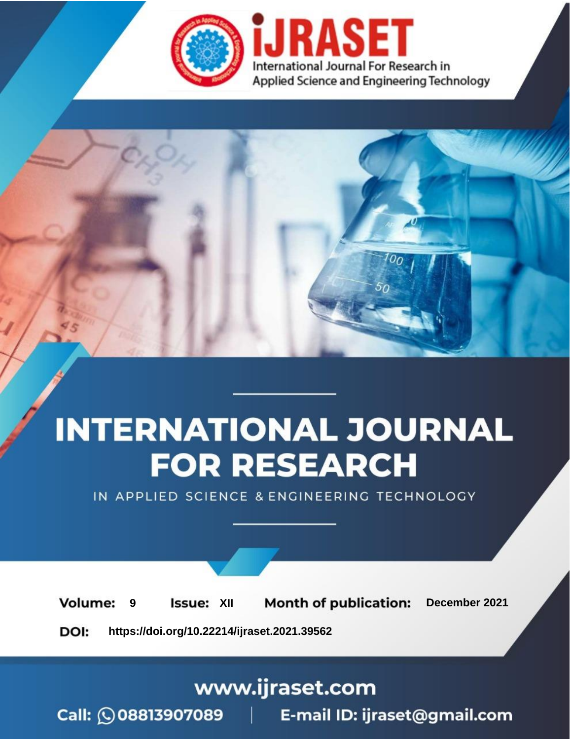



IN APPLIED SCIENCE & ENGINEERING TECHNOLOGY

**9 Issue:** XII **Month of publication:** December 2021 **Volume: https://doi.org/10.22214/ijraset.2021.39562**DOI:

www.ijraset.com

Call: 008813907089 | E-mail ID: ijraset@gmail.com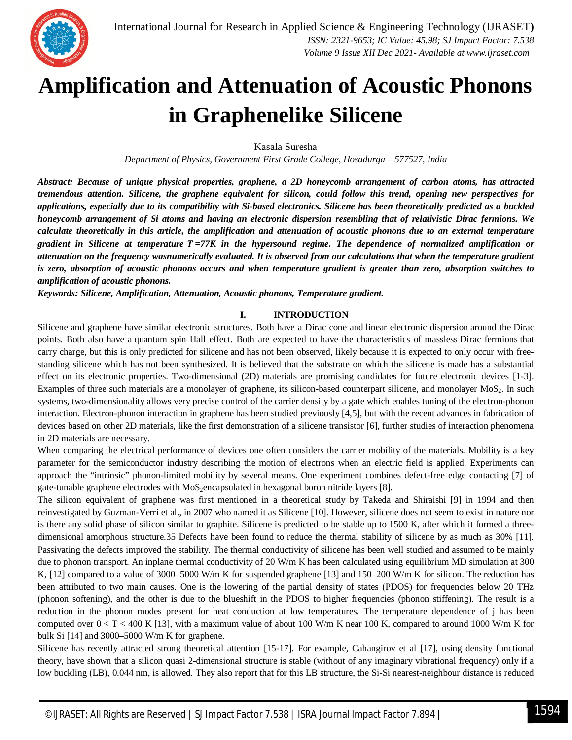

# **Amplification and Attenuation of Acoustic Phonons in Graphenelike Silicene**

Kasala Suresha

*Department of Physics, Government First Grade College, Hosadurga – 577527, India*

*Abstract: Because of unique physical properties, graphene, a 2D honeycomb arrangement of carbon atoms, has attracted tremendous attention. Silicene, the graphene equivalent for silicon, could follow this trend, opening new perspectives for applications, especially due to its compatibility with Si-based electronics. Silicene has been theoretically predicted as a buckled honeycomb arrangement of Si atoms and having an electronic dispersion resembling that of relativistic Dirac fermions. We calculate theoretically in this article, the amplification and attenuation of acoustic phonons due to an external temperature gradient in Silicene at temperature* ࢀ*= 77K in the hypersound regime. The dependence of normalized amplification or attenuation on the frequency wasnumerically evaluated. It is observed from our calculations that when the temperature gradient is zero, absorption of acoustic phonons occurs and when temperature gradient is greater than zero, absorption switches to amplification of acoustic phonons.*

*Keywords: Silicene, Amplification, Attenuation, Acoustic phonons, Temperature gradient.*

### **I. INTRODUCTION**

Silicene and graphene have similar electronic structures. Both have a Dirac cone and linear electronic dispersion around the Dirac points. Both also have a quantum spin Hall effect. Both are expected to have the characteristics of massless Dirac fermions that carry charge, but this is only predicted for silicene and has not been observed, likely because it is expected to only occur with freestanding silicene which has not been synthesized. It is believed that the substrate on which the silicene is made has a substantial effect on its electronic properties. Two-dimensional (2D) materials are promising candidates for future electronic devices [1-3]. Examples of three such materials are a monolayer of graphene, its silicon-based counterpart silicene, and monolayer MoS<sub>2</sub>. In such systems, two-dimensionality allows very precise control of the carrier density by a gate which enables tuning of the electron-phonon interaction. Electron-phonon interaction in graphene has been studied previously [4,5], but with the recent advances in fabrication of devices based on other 2D materials, like the first demonstration of a silicene transistor [6], further studies of interaction phenomena in 2D materials are necessary.

When comparing the electrical performance of devices one often considers the carrier mobility of the materials. Mobility is a key parameter for the semiconductor industry describing the motion of electrons when an electric field is applied. Experiments can approach the "intrinsic" phonon-limited mobility by several means. One experiment combines defect-free edge contacting [7] of gate-tunable graphene electrodes with MoS<sub>2</sub>encapsulated in hexagonal boron nitride layers [8].

The silicon equivalent of graphene was first mentioned in a theoretical study by Takeda and Shiraishi [9] in 1994 and then reinvestigated by Guzman-Verri et al., in 2007 who named it as Silicene [10]. However, silicene does not seem to exist in nature nor is there any solid phase of silicon similar to graphite. Silicene is predicted to be stable up to 1500 K, after which it formed a threedimensional amorphous structure.35 Defects have been found to reduce the thermal stability of silicene by as much as 30% [11]. Passivating the defects improved the stability. The thermal conductivity of silicene has been well studied and assumed to be mainly due to phonon transport. An inplane thermal conductivity of 20 W/m K has been calculated using equilibrium MD simulation at 300 K, [12] compared to a value of 3000–5000 W/m K for suspended graphene [13] and 150–200 W/m K for silicon. The reduction has been attributed to two main causes. One is the lowering of the partial density of states (PDOS) for frequencies below 20 THz (phonon softening), and the other is due to the blueshift in the PDOS to higher frequencies (phonon stiffening). The result is a reduction in the phonon modes present for heat conduction at low temperatures. The temperature dependence of j has been computed over  $0 < T < 400$  K [13], with a maximum value of about 100 W/m K near 100 K, compared to around 1000 W/m K for bulk Si [14] and 3000–5000 W/m K for graphene.

Silicene has recently attracted strong theoretical attention [15-17]. For example, Cahangirov et al [17], using density functional theory, have shown that a silicon quasi 2-dimensional structure is stable (without of any imaginary vibrational frequency) only if a low buckling (LB), 0.044 nm, is allowed. They also report that for this LB structure, the Si-Si nearest-neighbour distance is reduced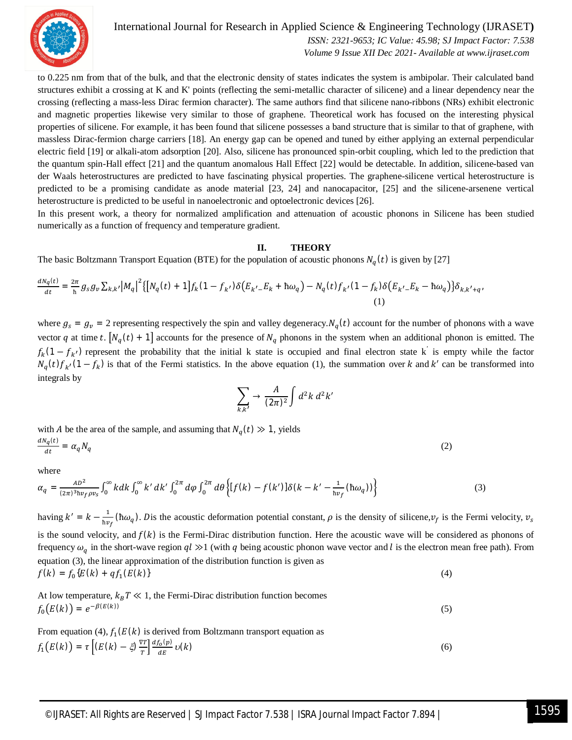

International Journal for Research in Applied Science & Engineering Technology (IJRASET**)**  *ISSN: 2321-9653; IC Value: 45.98; SJ Impact Factor: 7.538 Volume 9 Issue XII Dec 2021- Available at www.ijraset.com*

to 0.225 nm from that of the bulk, and that the electronic density of states indicates the system is ambipolar. Their calculated band structures exhibit a crossing at K and K' points (reflecting the semi-metallic character of silicene) and a linear dependency near the crossing (reflecting a mass-less Dirac fermion character). The same authors find that silicene nano-ribbons (NRs) exhibit electronic and magnetic properties likewise very similar to those of graphene. Theoretical work has focused on the interesting physical properties of silicene. For example, it has been found that silicene possesses a band structure that is similar to that of graphene, with massless Dirac-fermion charge carriers [18]. An energy gap can be opened and tuned by either applying an external perpendicular electric field [19] or alkali-atom adsorption [20]. Also, silicene has pronounced spin-orbit coupling, which led to the prediction that the quantum spin-Hall effect [21] and the quantum anomalous Hall Effect [22] would be detectable. In addition, silicene-based van der Waals heterostructures are predicted to have fascinating physical properties. The graphene-silicene vertical heterostructure is predicted to be a promising candidate as anode material [23, 24] and nanocapacitor, [25] and the silicene-arsenene vertical heterostructure is predicted to be useful in nanoelectronic and optoelectronic devices [26].

In this present work, a theory for normalized amplification and attenuation of acoustic phonons in Silicene has been studied numerically as a function of frequency and temperature gradient.

## **II. THEORY**

The basic Boltzmann Transport Equation (BTE) for the population of acoustic phonons  $N_q(t)$  is given by [27]

$$
\frac{dN_q(t)}{dt} = \frac{2\pi}{h} g_S g_v \sum_{k,k'} |M_q|^2 \{ [N_q(t) + 1] f_k (1 - f_{k'}) \delta(E_{k'-} E_k + \hbar \omega_q) - N_q(t) f_{k'} (1 - f_k) \delta(E_{k'-} E_k - \hbar \omega_q) \} \delta_{k,k'+q'} \tag{1}
$$

where  $g_s = g_v = 2$  representing respectively the spin and valley degeneracy. $N_q(t)$  account for the number of phonons with a wave vector q at time t.  $[N_q(t) + 1]$  accounts for the presence of  $N_q$  phonons in the system when an additional phonon is emitted. The  $f_k(1 - f_{k})$  represent the probability that the initial k state is occupied and final electron state k is empty while the factor  $N_q(t)f_{k'}(1-f_k)$  is that of the Fermi statistics. In the above equation (1), the summation over k and k' can be transformed into integrals by

$$
\sum_{k,k'} \to \frac{A}{(2\pi)^2} \int d^2k \; d^2k'
$$

with A be the area of the sample, and assuming that  $N_q(t) \gg 1$ , yields  $dN_q(t)$ 

$$
\frac{d\mathcal{A}}{dt} = \alpha_q N_q \tag{2}
$$

where

$$
\alpha_q = \frac{^{AD^2}}{(2\pi)^3 \hbar v_f \rho v_s} \int_0^\infty k dk \int_0^\infty k' dk' \int_0^{2\pi} d\varphi \int_0^{2\pi} d\theta \left\{ [f(k) - f(k')] \delta(k - k' - \frac{1}{\hbar v_f} (\hbar \omega_q)) \right\} \tag{3}
$$

having  $k' = k - \frac{1}{\hbar w}$  $\frac{1}{\hbar v_f}$  (h $\omega_q$ ). Dis the acoustic deformation potential constant,  $\rho$  is the density of silicene,  $v_f$  is the Fermi velocity,  $v_s$ is the sound velocity, and  $f(k)$  is the Fermi-Dirac distribution function. Here the acoustic wave will be considered as phonons of frequency  $\omega_q$  in the short-wave region  $ql \gg 1$  (with q being acoustic phonon wave vector and l is the electron mean free path). From equation (3), the linear approximation of the distribution function is given as  $f(k) = f_0(E(k) + qf_1)$  $(E(k))$  (4)

At low temperature,  $k_B T \ll 1$ , the Fermi-Dirac distribution function becomes  $f_0(E(k)) = e^{-\beta(E(k))}$ (5)

From equation (4),  $f_1(E(k))$  is derived from Boltzmann transport equation as  $f_1(E(k)) = \tau \left[ (E(k) - \xi) \frac{\nabla T}{T} \right]$  $\left[\frac{df_o(p)}{dE}\right]$  $dE$  $\nu(k)$  (6)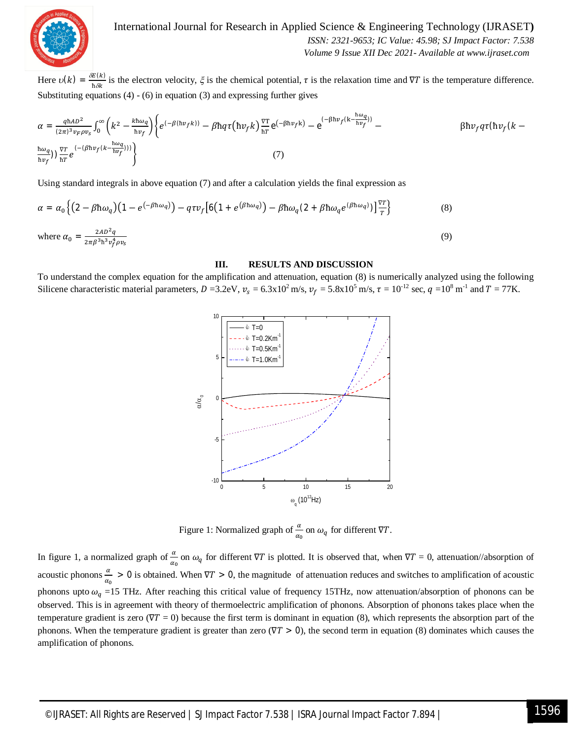

International Journal for Research in Applied Science & Engineering Technology (IJRASET**)**  *ISSN: 2321-9653; IC Value: 45.98; SJ Impact Factor: 7.538 Volume 9 Issue XII Dec 2021- Available at www.ijraset.com*

Here  $v(k) = \frac{\delta E(k)}{k S!}$  $\frac{\partial u(x)}{\partial x}$  is the electron velocity,  $\xi$  is the chemical potential,  $\tau$  is the relaxation time and  $\nabla T$  is the temperature difference. Substituting equations  $(4) - (6)$  in equation  $(3)$  and expressing further gives

$$
\alpha = \frac{q \hbar A D^2}{(2\pi)^3 v_F \rho v_S} \int_0^\infty \left( k^2 - \frac{k \hbar \omega_q}{\hbar v_f} \right) \left\{ e^{(-\beta (\hbar v_f k))} - \beta \hbar q \tau (\hbar v_f k) \frac{\nabla T}{\hbar T} e^{(-\beta \hbar v_f k)} - e^{(-\beta \hbar v_f (k - \frac{\hbar \omega_q}{\hbar v_f}))} - e^{(-\beta \hbar v_f (k - \frac{\hbar \omega_q}{\hbar v_f}))} \right\}
$$
\n
$$
(7)
$$

Using standard integrals in above equation (7) and after a calculation yields the final expression as

$$
\alpha = \alpha_0 \left\{ \left( 2 - \beta \hbar \omega_q \right) \left( 1 - e^{(-\beta \hbar \omega_q)} \right) - q \tau v_f \left[ 6 \left( 1 + e^{(\beta \hbar \omega_q)} \right) - \beta \hbar \omega_q (2 + \beta \hbar \omega_q e^{(\beta \hbar \omega_q)}) \right] \frac{\nabla T}{T} \right\}
$$
(8)  
where  $\alpha_0 = \frac{2AD^2q}{2\pi \beta^3 \hbar^3 v_f^4 \rho v_s}$ 

#### **III. RESULTS AND DISCUSSION**

To understand the complex equation for the amplification and attenuation, equation (8) is numerically analyzed using the following Silicene characteristic material parameters,  $D = 3.2$ eV,  $v_s = 6.3 \times 10^2$  m/s,  $v_f = 5.8 \times 10^5$  m/s,  $\tau = 10^{-12}$  sec,  $q = 10^8$  m<sup>-1</sup> and  $T = 77$ K.



Figure 1: Normalized graph of  $\frac{\alpha}{\alpha_0}$  on  $\omega_q$  for different  $\nabla T$ .

In figure 1, a normalized graph of  $\frac{\alpha}{\alpha_0}$  on  $\omega_q$  for different  $\nabla T$  is plotted. It is observed that, when  $\nabla T = 0$ , attenuation//absorption of acoustic phonons  $\frac{\alpha}{\alpha_0} > 0$  is obtained. When  $\nabla T > 0$ , the magnitude of attenuation reduces and switches to amplification of acoustic phonons upto  $\omega_q$  =15 THz. After reaching this critical value of frequency 15THz, now attenuation/absorption of phonons can be observed. This is in agreement with theory of thermoelectric amplification of phonons. Absorption of phonons takes place when the temperature gradient is zero ( $\nabla T = 0$ ) because the first term is dominant in equation (8), which represents the absorption part of the phonons. When the temperature gradient is greater than zero ( $\nabla T > 0$ ), the second term in equation (8) dominates which causes the amplification of phonons.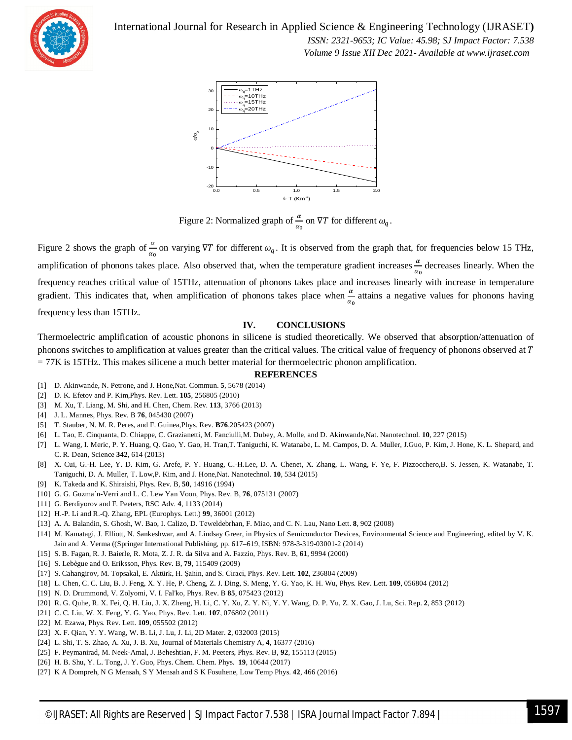

International Journal for Research in Applied Science & Engineering Technology (IJRASET**)**

 *ISSN: 2321-9653; IC Value: 45.98; SJ Impact Factor: 7.538 Volume 9 Issue XII Dec 2021- Available at www.ijraset.com*



Figure 2: Normalized graph of  $\frac{\alpha}{\alpha_0}$  on  $\nabla T$  for different  $\omega_q$ .

Figure 2 shows the graph of  $\frac{\alpha}{\alpha_0}$  on varying  $\nabla T$  for different  $\omega_q$ . It is observed from the graph that, for frequencies below 15 THz, amplification of phonons takes place. Also observed that, when the temperature gradient increases  $\frac{a}{\alpha_0}$  decreases linearly. When the frequency reaches critical value of 15THz, attenuation of phonons takes place and increases linearly with increase in temperature gradient. This indicates that, when amplification of phonons takes place when  $\frac{\alpha}{\alpha_0}$  attains a negative values for phonons having frequency less than 15THz.

# **IV. CONCLUSIONS**

Thermoelectric amplification of acoustic phonons in silicene is studied theoretically. We observed that absorption/attenuation of phonons switches to amplification at values greater than the critical values. The critical value of frequency of phonons observed at  $T$ = 77K is 15THz. This makes silicene a much better material for thermoelectric phonon amplification.

#### **REFERENCES**

- [1] D. Akinwande, N. Petrone, and J. Hone,Nat. Commun. **5**, 5678 (2014)
- [2] D. K. Efetov and P. Kim,Phys. Rev. Lett. **105**, 256805 (2010)
- [3] M. Xu, T. Liang, M. Shi, and H. Chen, Chem. Rev. **113**, 3766 (2013)
- [4] J. L. Mannes, Phys. Rev. B **76**, 045430 (2007)
- [5] T. Stauber, N. M. R. Peres, and F. Guinea,Phys. Rev. **B76**,205423 (2007)
- [6] L. Tao, E. Cinquanta, D. Chiappe, C. Grazianetti, M. Fanciulli,M. Dubey, A. Molle, and D. Akinwande,Nat. Nanotechnol. **10**, 227 (2015)
- [7] L. Wang, I. Meric, P. Y. Huang, Q. Gao, Y. Gao, H. Tran,T. Taniguchi, K. Watanabe, L. M. Campos, D. A. Muller, J.Guo, P. Kim, J. Hone, K. L. Shepard, and C. R. Dean, Science **342**, 614 (2013)
- [8] X. Cui, G.-H. Lee, Y. D. Kim, G. Arefe, P. Y. Huang, C.-H.Lee, D. A. Chenet, X. Zhang, L. Wang, F. Ye, F. Pizzocchero,B. S. Jessen, K. Watanabe, T. Taniguchi, D. A. Muller, T. Low,P. Kim, and J. Hone,Nat. Nanotechnol. **10**, 534 (2015)
- [9] K. Takeda and K. Shiraishi, Phys. Rev. B, **50**, 14916 (1994)
- [10] G. G. Guzma´n-Verri and L. C. Lew Yan Voon, Phys. Rev. B, **76**, 075131 (2007)
- [11] G. Berdiyorov and F. Peeters, RSC Adv. **4**, 1133 (2014)
- [12] H.-P. Li and R.-Q. Zhang, EPL (Europhys. Lett.) **99**, 36001 (2012)
- [13] A. A. Balandin, S. Ghosh, W. Bao, I. Calizo, D. Teweldebrhan, F. Miao, and C. N. Lau, Nano Lett. **8**, 902 (2008)
- [14] M. Kamatagi, J. Elliott, N. Sankeshwar, and A. Lindsay Greer, in Physics of Semiconductor Devices, Environmental Science and Engineering, edited by V. K. Jain and A. Verma ((Springer International Publishing, pp. 617–619, ISBN: 978-3-319-03001-2 (2014)
- [15] S. B. Fagan, R. J. Baierle, R. Mota, Z. J. R. da Silva and A. Fazzio, Phys. Rev. B, **61**, 9994 (2000)
- [16] S. Lebègue and O. Eriksson, Phys. Rev. B, **79**, 115409 (2009)
- [17] S. Cahangirov, M. Topsakal, E. Aktürk, H. Şahin, and S. Ciraci, Phys. Rev. Lett. **102**, 236804 (2009)
- [18] L. Chen, C. C. Liu, B. J. Feng, X. Y. He, P. Cheng, Z. J. Ding, S. Meng, Y. G. Yao, K. H. Wu, Phys. Rev. Lett. **109**, 056804 (2012)
- [19] N. D. Drummond, V. Zolyomi, V. I. Fal'ko, Phys. Rev. B **85**, 075423 (2012)
- [20] R. G. Quhe, R. X. Fei, Q. H. Liu, J. X. Zheng, H. Li, C. Y. Xu, Z. Y. Ni, Y. Y. Wang, D. P. Yu, Z. X. Gao, J. Lu, Sci. Rep. **2**, 853 (2012)
- [21] C. C. Liu, W. X. Feng, Y. G. Yao, Phys. Rev. Lett. **107**, 076802 (2011)
- [22] M. Ezawa, Phys. Rev. Lett. **109**, 055502 (2012)
- [23] X. F. Qian, Y. Y. Wang, W. B. Li, J. Lu, J. Li, 2D Mater. **2**, 032003 (2015)
- [24] L. Shi, T. S. Zhao, A. Xu, J. B. Xu, Journal of Materials Chemistry A, **4**, 16377 (2016)
- [25] F. Peymanirad, M. Neek-Amal, J. Beheshtian, F. M. Peeters, Phys. Rev. B, **92**, 155113 (2015)
- [26] H. B. Shu, Y. L. Tong, J. Y. Guo, Phys. Chem. Chem. Phys. **19**, 10644 (2017)
- [27] K A Dompreh, N G Mensah, S Y Mensah and S K Fosuhene, Low Temp Phys. **42**, 466 (2016)